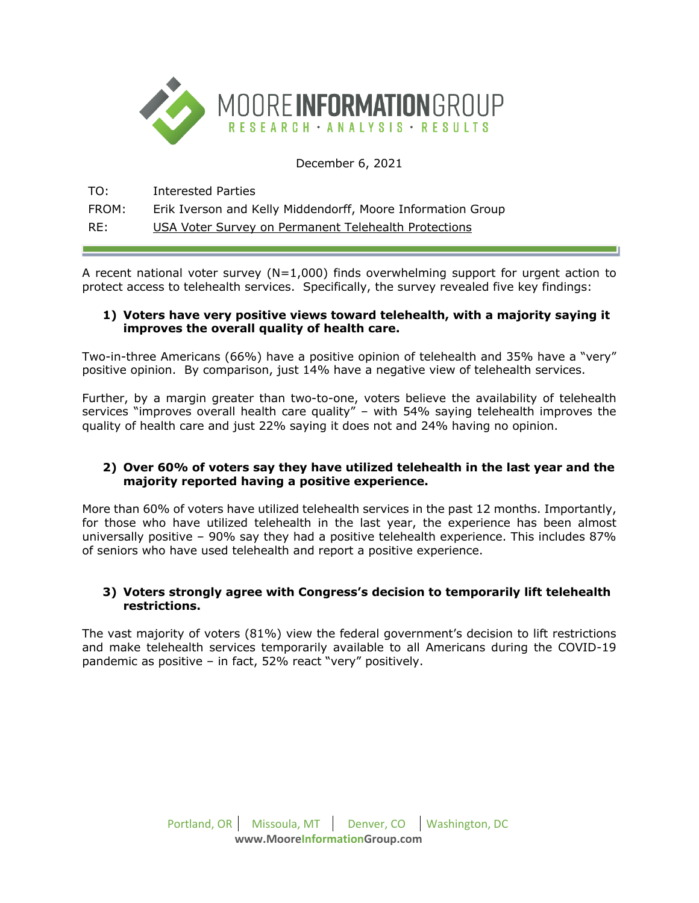

# December 6, 2021

TO: Interested Parties

FROM: Erik Iverson and Kelly Middendorff, Moore Information Group

RE: USA Voter Survey on Permanent Telehealth Protections

A recent national voter survey ( $N=1,000$ ) finds overwhelming support for urgent action to protect access to telehealth services. Specifically, the survey revealed five key findings:

### **1) Voters have very positive views toward telehealth, with a majority saying it improves the overall quality of health care.**

Two-in-three Americans (66%) have a positive opinion of telehealth and 35% have a "very" positive opinion. By comparison, just 14% have a negative view of telehealth services.

Further, by a margin greater than two-to-one, voters believe the availability of telehealth services "improves overall health care quality" – with 54% saying telehealth improves the quality of health care and just 22% saying it does not and 24% having no opinion.

### **2) Over 60% of voters say they have utilized telehealth in the last year and the majority reported having a positive experience.**

More than 60% of voters have utilized telehealth services in the past 12 months. Importantly, for those who have utilized telehealth in the last year, the experience has been almost universally positive – 90% say they had a positive telehealth experience. This includes 87% of seniors who have used telehealth and report a positive experience.

## **3) Voters strongly agree with Congress's decision to temporarily lift telehealth restrictions.**

The vast majority of voters (81%) view the federal government's decision to lift restrictions and make telehealth services temporarily available to all Americans during the COVID-19 pandemic as positive – in fact, 52% react "very" positively.